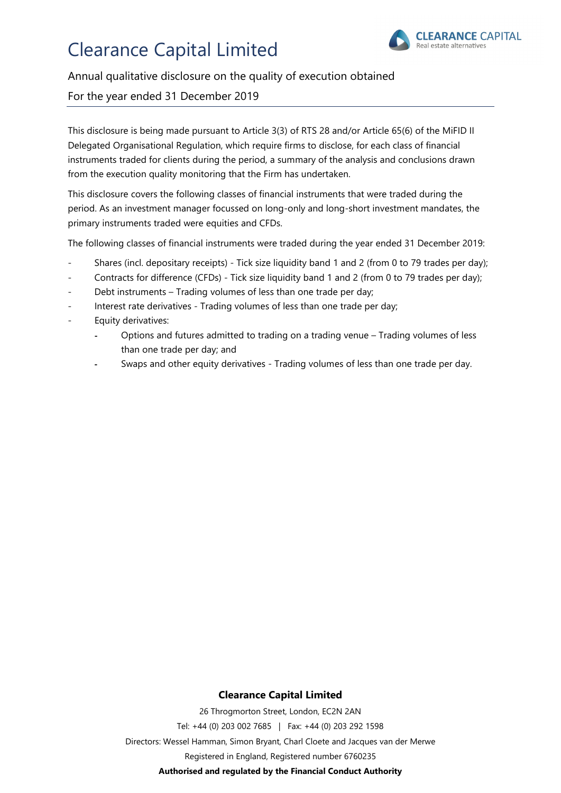

#### Annual qualitative disclosure on the quality of execution obtained

#### For the year ended 31 December 2019

This disclosure is being made pursuant to Article 3(3) of RTS 28 and/or Article 65(6) of the MiFID II Delegated Organisational Regulation, which require firms to disclose, for each class of financial instruments traded for clients during the period, a summary of the analysis and conclusions drawn from the execution quality monitoring that the Firm has undertaken.

This disclosure covers the following classes of financial instruments that were traded during the period. As an investment manager focussed on long-only and long-short investment mandates, the primary instruments traded were equities and CFDs.

The following classes of financial instruments were traded during the year ended 31 December 2019:

- Shares (incl. depositary receipts) Tick size liquidity band 1 and 2 (from 0 to 79 trades per day);
- Contracts for difference (CFDs) Tick size liquidity band 1 and 2 (from 0 to 79 trades per day);
- Debt instruments Trading volumes of less than one trade per day;
- Interest rate derivatives Trading volumes of less than one trade per day;
- Equity derivatives:
	- Options and futures admitted to trading on a trading venue Trading volumes of less than one trade per day; and
	- Swaps and other equity derivatives Trading volumes of less than one trade per day.

#### **Clearance Capital Limited**

26 Throgmorton Street, London, EC2N 2AN Tel: +44 (0) 203 002 7685 | Fax: +44 (0) 203 292 1598 Directors: Wessel Hamman, Simon Bryant, Charl Cloete and Jacques van der Merwe Registered in England, Registered number 6760235 **Authorised and regulated by the Financial Conduct Authority**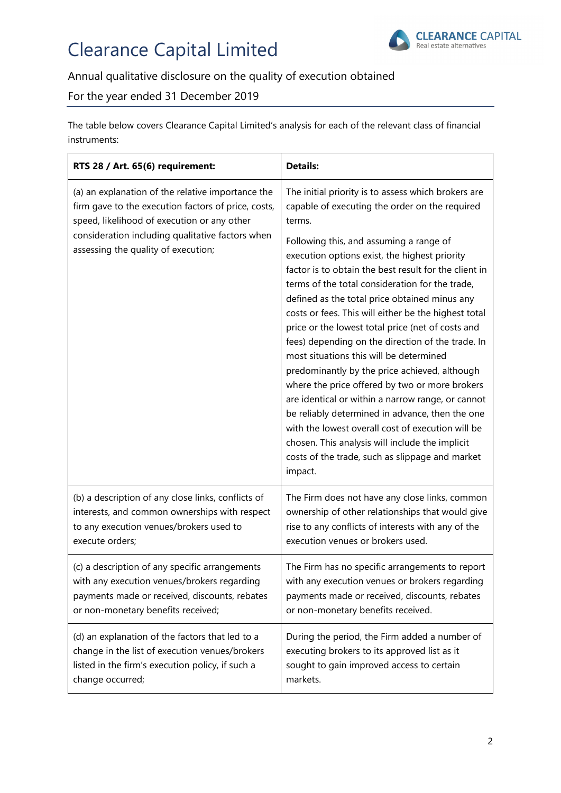

### Annual qualitative disclosure on the quality of execution obtained

### For the year ended 31 December 2019

The table below covers Clearance Capital Limited's analysis for each of the relevant class of financial instruments:

| RTS 28 / Art. 65(6) requirement:                                                                                                                                                                                                                   | <b>Details:</b>                                                                                                                                                                                                                                                                                                                                                                                                                                                                                                                                                                                                                                                                                                                                                                                                                                                                                                                                                        |  |
|----------------------------------------------------------------------------------------------------------------------------------------------------------------------------------------------------------------------------------------------------|------------------------------------------------------------------------------------------------------------------------------------------------------------------------------------------------------------------------------------------------------------------------------------------------------------------------------------------------------------------------------------------------------------------------------------------------------------------------------------------------------------------------------------------------------------------------------------------------------------------------------------------------------------------------------------------------------------------------------------------------------------------------------------------------------------------------------------------------------------------------------------------------------------------------------------------------------------------------|--|
| (a) an explanation of the relative importance the<br>firm gave to the execution factors of price, costs,<br>speed, likelihood of execution or any other<br>consideration including qualitative factors when<br>assessing the quality of execution; | The initial priority is to assess which brokers are<br>capable of executing the order on the required<br>terms.<br>Following this, and assuming a range of<br>execution options exist, the highest priority<br>factor is to obtain the best result for the client in<br>terms of the total consideration for the trade,<br>defined as the total price obtained minus any<br>costs or fees. This will either be the highest total<br>price or the lowest total price (net of costs and<br>fees) depending on the direction of the trade. In<br>most situations this will be determined<br>predominantly by the price achieved, although<br>where the price offered by two or more brokers<br>are identical or within a narrow range, or cannot<br>be reliably determined in advance, then the one<br>with the lowest overall cost of execution will be<br>chosen. This analysis will include the implicit<br>costs of the trade, such as slippage and market<br>impact. |  |
| (b) a description of any close links, conflicts of                                                                                                                                                                                                 | The Firm does not have any close links, common                                                                                                                                                                                                                                                                                                                                                                                                                                                                                                                                                                                                                                                                                                                                                                                                                                                                                                                         |  |
| interests, and common ownerships with respect                                                                                                                                                                                                      | ownership of other relationships that would give                                                                                                                                                                                                                                                                                                                                                                                                                                                                                                                                                                                                                                                                                                                                                                                                                                                                                                                       |  |
| to any execution venues/brokers used to                                                                                                                                                                                                            | rise to any conflicts of interests with any of the                                                                                                                                                                                                                                                                                                                                                                                                                                                                                                                                                                                                                                                                                                                                                                                                                                                                                                                     |  |
| execute orders;                                                                                                                                                                                                                                    | execution venues or brokers used.                                                                                                                                                                                                                                                                                                                                                                                                                                                                                                                                                                                                                                                                                                                                                                                                                                                                                                                                      |  |
| (c) a description of any specific arrangements                                                                                                                                                                                                     | The Firm has no specific arrangements to report                                                                                                                                                                                                                                                                                                                                                                                                                                                                                                                                                                                                                                                                                                                                                                                                                                                                                                                        |  |
| with any execution venues/brokers regarding                                                                                                                                                                                                        | with any execution venues or brokers regarding                                                                                                                                                                                                                                                                                                                                                                                                                                                                                                                                                                                                                                                                                                                                                                                                                                                                                                                         |  |
| payments made or received, discounts, rebates                                                                                                                                                                                                      | payments made or received, discounts, rebates                                                                                                                                                                                                                                                                                                                                                                                                                                                                                                                                                                                                                                                                                                                                                                                                                                                                                                                          |  |
| or non-monetary benefits received;                                                                                                                                                                                                                 | or non-monetary benefits received.                                                                                                                                                                                                                                                                                                                                                                                                                                                                                                                                                                                                                                                                                                                                                                                                                                                                                                                                     |  |
| (d) an explanation of the factors that led to a                                                                                                                                                                                                    | During the period, the Firm added a number of                                                                                                                                                                                                                                                                                                                                                                                                                                                                                                                                                                                                                                                                                                                                                                                                                                                                                                                          |  |
| change in the list of execution venues/brokers                                                                                                                                                                                                     | executing brokers to its approved list as it                                                                                                                                                                                                                                                                                                                                                                                                                                                                                                                                                                                                                                                                                                                                                                                                                                                                                                                           |  |
| listed in the firm's execution policy, if such a                                                                                                                                                                                                   | sought to gain improved access to certain                                                                                                                                                                                                                                                                                                                                                                                                                                                                                                                                                                                                                                                                                                                                                                                                                                                                                                                              |  |
| change occurred;                                                                                                                                                                                                                                   | markets.                                                                                                                                                                                                                                                                                                                                                                                                                                                                                                                                                                                                                                                                                                                                                                                                                                                                                                                                                               |  |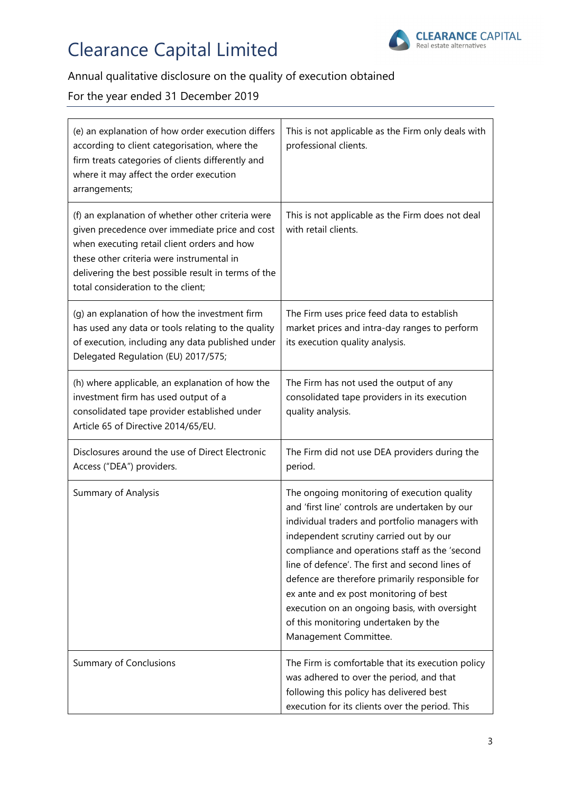

# Annual qualitative disclosure on the quality of execution obtained

### For the year ended 31 December 2019

| (e) an explanation of how order execution differs<br>according to client categorisation, where the<br>firm treats categories of clients differently and<br>where it may affect the order execution<br>arrangements;                                                                          | This is not applicable as the Firm only deals with<br>professional clients.                                                                                                                                                                                                                                                                                                                                                                                                                                     |
|----------------------------------------------------------------------------------------------------------------------------------------------------------------------------------------------------------------------------------------------------------------------------------------------|-----------------------------------------------------------------------------------------------------------------------------------------------------------------------------------------------------------------------------------------------------------------------------------------------------------------------------------------------------------------------------------------------------------------------------------------------------------------------------------------------------------------|
| (f) an explanation of whether other criteria were<br>given precedence over immediate price and cost<br>when executing retail client orders and how<br>these other criteria were instrumental in<br>delivering the best possible result in terms of the<br>total consideration to the client; | This is not applicable as the Firm does not deal<br>with retail clients.                                                                                                                                                                                                                                                                                                                                                                                                                                        |
| (g) an explanation of how the investment firm<br>has used any data or tools relating to the quality<br>of execution, including any data published under<br>Delegated Regulation (EU) 2017/575;                                                                                               | The Firm uses price feed data to establish<br>market prices and intra-day ranges to perform<br>its execution quality analysis.                                                                                                                                                                                                                                                                                                                                                                                  |
| (h) where applicable, an explanation of how the<br>investment firm has used output of a<br>consolidated tape provider established under<br>Article 65 of Directive 2014/65/EU.                                                                                                               | The Firm has not used the output of any<br>consolidated tape providers in its execution<br>quality analysis.                                                                                                                                                                                                                                                                                                                                                                                                    |
| Disclosures around the use of Direct Electronic<br>Access ("DEA") providers.                                                                                                                                                                                                                 | The Firm did not use DEA providers during the<br>period.                                                                                                                                                                                                                                                                                                                                                                                                                                                        |
| Summary of Analysis                                                                                                                                                                                                                                                                          | The ongoing monitoring of execution quality<br>and 'first line' controls are undertaken by our<br>individual traders and portfolio managers with<br>independent scrutiny carried out by our<br>compliance and operations staff as the 'second<br>line of defence'. The first and second lines of<br>defence are therefore primarily responsible for<br>ex ante and ex post monitoring of best<br>execution on an ongoing basis, with oversight<br>of this monitoring undertaken by the<br>Management Committee. |
| <b>Summary of Conclusions</b>                                                                                                                                                                                                                                                                | The Firm is comfortable that its execution policy<br>was adhered to over the period, and that<br>following this policy has delivered best<br>execution for its clients over the period. This                                                                                                                                                                                                                                                                                                                    |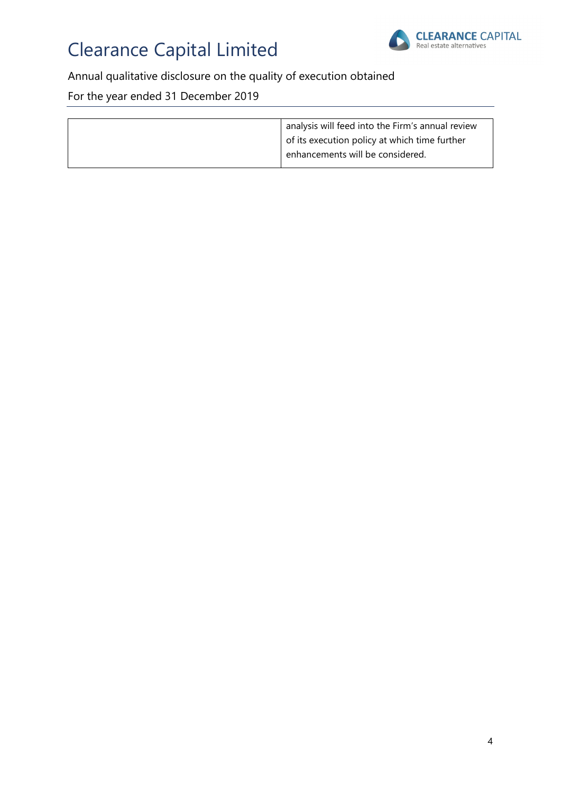

# Annual qualitative disclosure on the quality of execution obtained

For the year ended 31 December 2019

| analysis will feed into the Firm's annual review |  |
|--------------------------------------------------|--|
| of its execution policy at which time further    |  |
| enhancements will be considered.                 |  |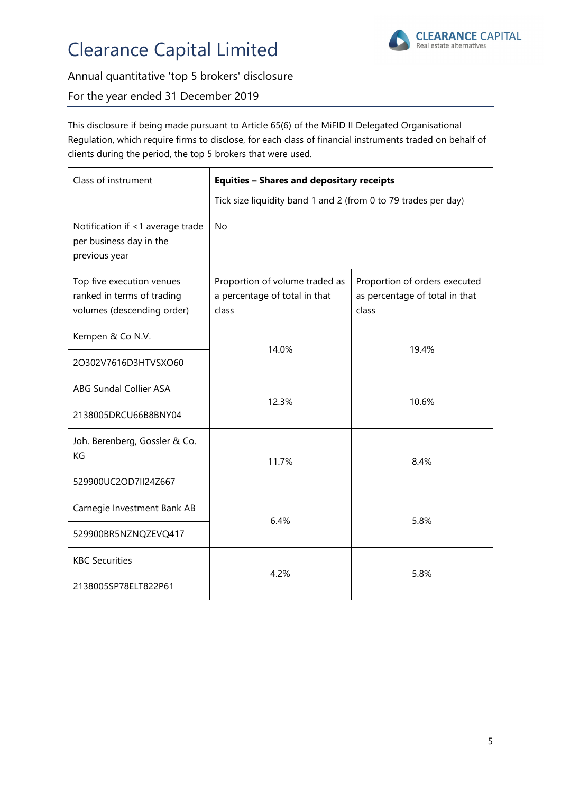

### Annual quantitative 'top 5 brokers' disclosure

#### For the year ended 31 December 2019

This disclosure if being made pursuant to Article 65(6) of the MiFID II Delegated Organisational Regulation, which require firms to disclose, for each class of financial instruments traded on behalf of clients during the period, the top 5 brokers that were used.

| Class of instrument                                                                   | <b>Equities - Shares and depositary receipts</b>                         |                                                                          |  |
|---------------------------------------------------------------------------------------|--------------------------------------------------------------------------|--------------------------------------------------------------------------|--|
|                                                                                       | Tick size liquidity band 1 and 2 (from 0 to 79 trades per day)           |                                                                          |  |
| Notification if <1 average trade<br>per business day in the<br>previous year          | <b>No</b>                                                                |                                                                          |  |
| Top five execution venues<br>ranked in terms of trading<br>volumes (descending order) | Proportion of volume traded as<br>a percentage of total in that<br>class | Proportion of orders executed<br>as percentage of total in that<br>class |  |
| Kempen & Co N.V.                                                                      | 14.0%                                                                    | 19.4%                                                                    |  |
| 2O302V7616D3HTVSXO60                                                                  |                                                                          |                                                                          |  |
| ABG Sundal Collier ASA                                                                | 12.3%                                                                    | 10.6%                                                                    |  |
| 2138005DRCU66B8BNY04                                                                  |                                                                          |                                                                          |  |
| Joh. Berenberg, Gossler & Co.<br>KG                                                   | 11.7%                                                                    | 8.4%                                                                     |  |
| 529900UC2OD7II24Z667                                                                  |                                                                          |                                                                          |  |
| Carnegie Investment Bank AB                                                           | 6.4%                                                                     | 5.8%                                                                     |  |
| 529900BR5NZNQZEVQ417                                                                  |                                                                          |                                                                          |  |
| <b>KBC Securities</b>                                                                 | 4.2%                                                                     | 5.8%                                                                     |  |
| 2138005SP78ELT822P61                                                                  |                                                                          |                                                                          |  |